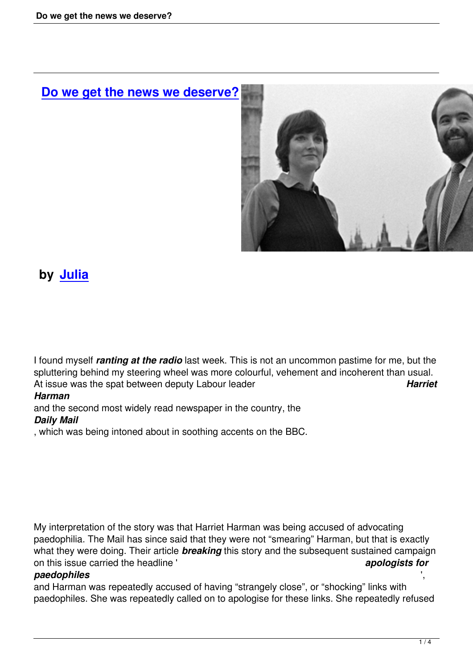# **Do we get the news we deserve?**



## **by Julia**

I found myself *ranting at the radio* last week. This is not an uncommon pastime for me, but the spluttering behind my steering wheel was more colourful, vehement and incoherent than usual. At issue was the spat between deputy Labour leader *Harriet*

#### *Harman*

and the second most widely read newspaper in the country, the *Daily Mail*

, which was being intoned about in soothing accents on the BBC.

My interpretation of the story was that Harriet Harman was being accused of advocating paedophilia. The Mail has since said that they were not "smearing" Harman, but that is exactly what they were doing. Their article *breaking* this story and the subsequent sustained campaign on this issue carried the headline ' *apologists for*

#### *paedophiles* ',

and Harman was repeatedly accused of having "strangely close", or "shocking" links with paedophiles. She was repeatedly called on to apologise for these links. She repeatedly refused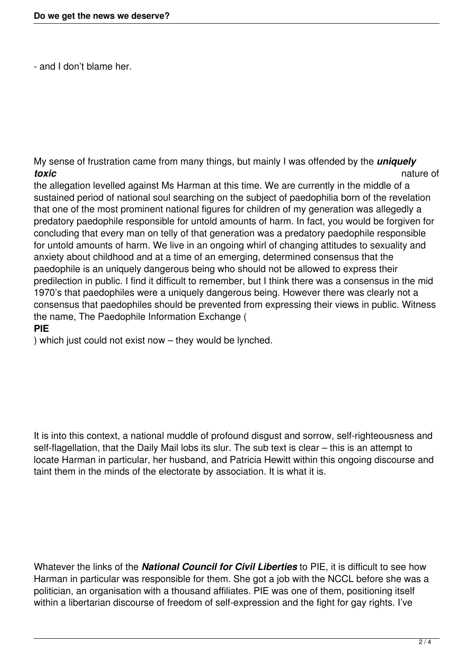- and I don't blame her.

My sense of frustration came from many things, but mainly I was offended by the **uniquely**<br>natu *toxic* nature of

the allegation levelled against Ms Harman at this time. We are currently in the middle of a sustained period of national soul searching on the subject of paedophilia born of the revelation that one of the most prominent national figures for children of my generation was allegedly a predatory paedophile responsible for untold amounts of harm. In fact, you would be forgiven for concluding that every man on telly of that generation was a predatory paedophile responsible for untold amounts of harm. We live in an ongoing whirl of changing attitudes to sexuality and anxiety about childhood and at a time of an emerging, determined consensus that the paedophile is an uniquely dangerous being who should not be allowed to express their predilection in public. I find it difficult to remember, but I think there was a consensus in the mid 1970's that paedophiles were a uniquely dangerous being. However there was clearly not a consensus that paedophiles should be prevented from expressing their views in public. Witness the name, The Paedophile Information Exchange (

#### **PIE**

) which just could not exist now – they would be lynched.

It is into this context, a national muddle of profound disgust and sorrow, self-righteousness and self-flagellation, that the Daily Mail lobs its slur. The sub text is clear – this is an attempt to locate Harman in particular, her husband, and Patricia Hewitt within this ongoing discourse and taint them in the minds of the electorate by association. It is what it is.

Whatever the links of the *National Council for Civil Liberties* to PIE, it is difficult to see how Harman in particular was responsible for them. She got a job with the NCCL before she was a politician, an organisation with a thousand affiliates. PIE was one of them, positioning itself within a libertarian discourse of freedom of self-expression and the fight for gay rights. I've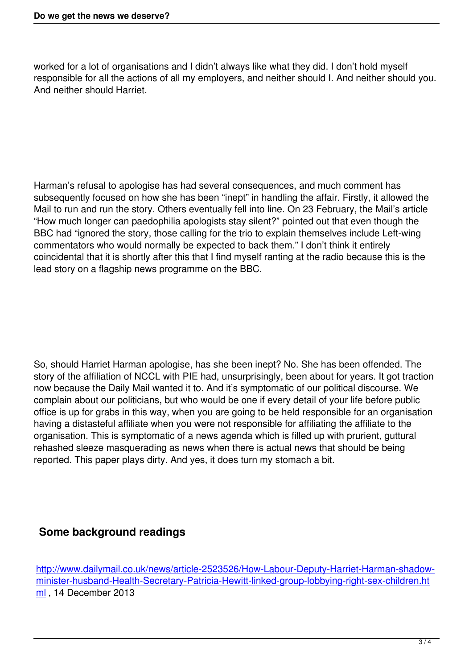worked for a lot of organisations and I didn't always like what they did. I don't hold myself responsible for all the actions of all my employers, and neither should I. And neither should you. And neither should Harriet.

Harman's refusal to apologise has had several consequences, and much comment has subsequently focused on how she has been "inept" in handling the affair. Firstly, it allowed the Mail to run and run the story. Others eventually fell into line. On 23 February, the Mail's article "How much longer can paedophilia apologists stay silent?" pointed out that even though the BBC had "ignored the story, those calling for the trio to explain themselves include Left-wing commentators who would normally be expected to back them." I don't think it entirely coincidental that it is shortly after this that I find myself ranting at the radio because this is the lead story on a flagship news programme on the BBC.

So, should Harriet Harman apologise, has she been inept? No. She has been offended. The story of the affiliation of NCCL with PIE had, unsurprisingly, been about for years. It got traction now because the Daily Mail wanted it to. And it's symptomatic of our political discourse. We complain about our politicians, but who would be one if every detail of your life before public office is up for grabs in this way, when you are going to be held responsible for an organisation having a distasteful affiliate when you were not responsible for affiliating the affiliate to the organisation. This is symptomatic of a news agenda which is filled up with prurient, guttural rehashed sleeze masquerading as news when there is actual news that should be being reported. This paper plays dirty. And yes, it does turn my stomach a bit.

### **Some background readings**

http://www.dailymail.co.uk/news/article-2523526/How-Labour-Deputy-Harriet-Harman-shadowminister-husband-Health-Secretary-Patricia-Hewitt-linked-group-lobbying-right-sex-children.ht ml , 14 December 2013